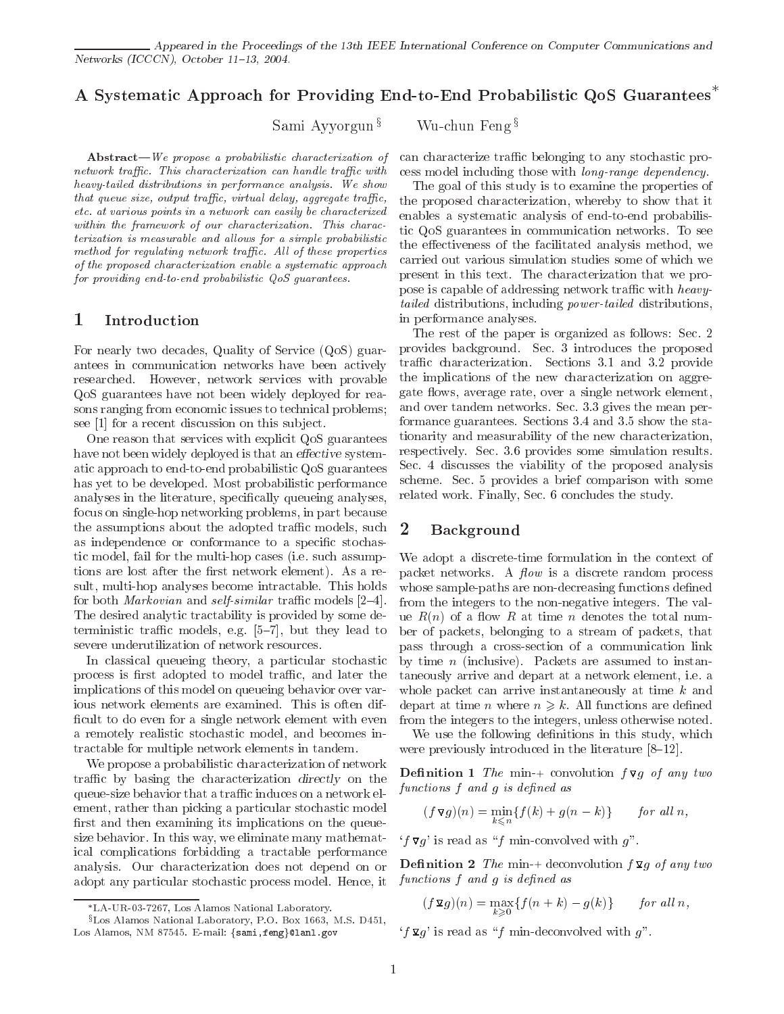# A Systematic Approach for Providing End-to-End Probabilistic QoS Guarantees

Sami Ayyorgun  $\frac{1}{2}$  Wu-chun Feng  $\frac{1}{2}$ 

 $Abstract-We propose a probabilistic characterization of$ network traffic. This characterization can handle traffic with heavy-tailed distributions in performance analysis. We show that queue size, output traffic, virtual delay, aggregate traffic, etc. at various points in a network can easily be characterized within the framework of our characterization. This characterization is measurable and allows for a simple probabilistic method for regulating network traffic. All of these properties of the proposed characterization enable a systematic approach for providing end-to-end probabilistic QoS guarantees.

# 1 Introduction

For nearly two decades, Quality of Service (QoS) guarantees in communication networks have been actively researched. However, network services with provable QoS guarantees have not been widely deployed for reasons ranging from economic issues to technical problems; see [1] for a recent discussion on this sub ject.

One reason that services with explicit QoS guarantees have not been widely deployed is that an effective systematic approach to end-to-end probabilistic QoS guarantees has yet to be developed. Most probabilistic performance analyses in the literature, specically queueing analyses, focus on single-hop networking problems, in part because the assumptions about the adopted traffic models, such  $2$ as independence or conformance to a specific stochastic model, fail for the multi-hop cases (i.e. such assumptions are lost after the first network element). As a result, multi-hop analyses become intractable. This holds for both *Markovian* and *self-similar* traffic models  $[2-4]$ . The desired analytic tractability is provided by some deterministic traffic models, e.g.  $[5-7]$ , but they lead to severe underutilization of network resources.

In classical queueing theory, a particular stochastic process is first adopted to model traffic, and later the implications of this model on queueing behavior over various network elements are examined. This is often dif ficult to do even for a single network element with even a remotely realistic stochastic model, and becomes intractable for multiple network elements in tandem.

We propose a probabilistic characterization of network traffic by basing the characterization directly on the queue-size behavior that a traffic induces on a network element, rather than picking a particular stochastic model first and then examining its implications on the queuesize behavior. In this way, we eliminate many mathematical complications forbidding a tractable performance analysis. Our characterization does not depend on or adopt any particular stochastic process model. Hence, it

can characterize traffic belonging to any stochastic process model including those with long-range dependency.

The goal of this study is to examine the properties of the proposed characterization, whereby to show that it enables a systematic analysis of end-to-end probabilistic QoS guarantees in communication networks. To see the effectiveness of the facilitated analysis method, we carried out various simulation studies some of which we present in this text. The characterization that we propose is capable of addressing network traffic with heavytailed distributions, including power-tailed distributions, in performance analyses.

The rest of the paper is organized as follows: Sec. 2 provides background. Sec. 3 introduces the proposed traffic characterization. Sections 3.1 and 3.2 provide the implications of the new characterization on aggregate flows, average rate, over a single network element, and over tandem networks. Sec. 3.3 gives the mean performance guarantees. Sections 3.4 and 3.5 show the stationarity and measurability of the new characterization, respectively. Sec. 3.6 provides some simulation results. Sec. 4 discusses the viability of the proposed analysis scheme. Sec. 5 provides a brief comparison with some related work. Finally, Sec. 6 concludes the study.

## Background

We adopt a discrete-time formulation in the context of packet networks. A  $flow$  is a discrete random process whose sample-paths are non-decreasing functions defined from the integers to the non-negative integers. The value  $R(n)$  of a flow R at time n denotes the total number of packets, belonging to a stream of packets, that pass through a cross-section of a communication link by time  $n$  (inclusive). Packets are assumed to instantaneously arrive and depart at a network element, i.e. a whole packet can arrive instantaneously at time  $k$  and depart at time *n* where  $n \geq k$ . All functions are defined from the integers to the integers, unless otherwise noted.

We use the following definitions in this study, which were previously introduced in the literature  $[8-12]$ .

**Definition 1** The min-+ convolution  $f \nabla g$  of any two functions  $f$  and  $g$  is defined as

$$
(f\,\mathbf{\nabla}g)(n) = \min_{k \leq n} \{f(k) + g(n-k)\} \qquad \text{for all } n,
$$

 $'f \nabla g'$  is read as "f min-convolved with g".

**Definition 2** The min-+ deconvolution  $f \mathbf{x} g$  of any two functions  $f$  and  $g$  is defined as

$$
(f\,\mathbf{\Sigma}\,g)(n)=\max_{k\geqslant 0}\{f(n+k)-g(k)\}\qquad\text{for all }n,
$$

 $'f \mathbf{\Sigma} g'$  is read as "f min-deconvolved with g".

LA-UR-03-7267, Los Alamos National Laboratory.

<sup>&</sup>lt;sup>§</sup>Los Alamos National Laboratory, P.O. Box 1663, M.S. D451, Los Alamos, NM 87545. E-mail: fsami,fengg@lanl.gov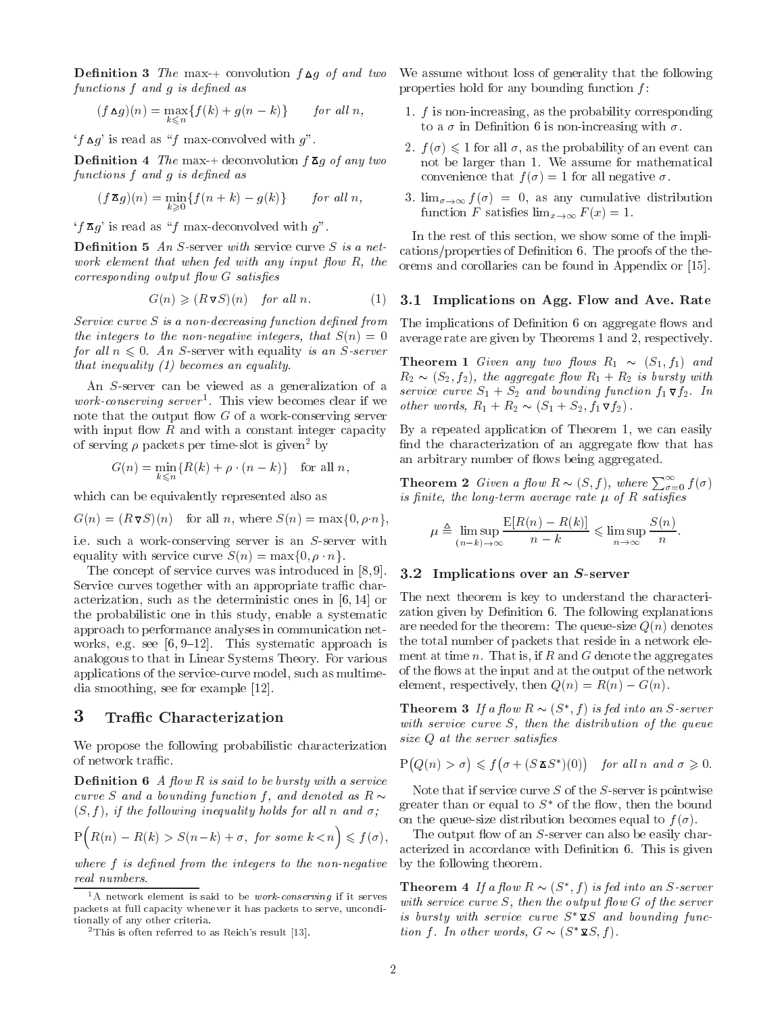functions f and g is defined as

$$
(f \Delta g)(n) = \max_{k \leq n} \{ f(k) + g(n-k) \} \quad \text{for all } n,
$$

 $'f \Delta g'$  is read as "f max-convolved with g".

**Definition 4** The max-+ deconvolution  $f \bar{A}g$  of any two functions f and g is defined as

$$
(f\,\mathbf{A}\,g)(n) = \min_{k\geqslant 0} \{f(n+k) - g(k)\} \qquad \text{for all } n,
$$

 $'f\overline{\mathbf{A}}g'$  is read as "f max-deconvolved with g".

**Definition 5** An S-server with service curve S is a network element that when fed with any input flow  $R$ , the  $corresponding~output~flow~G~satisfies$ 

$$
G(n) \geqslant (R\nabla S)(n) \quad \text{for all } n. \tag{1} \quad \mathbf{3.1}
$$

Service curve  $S$  is a non-decreasing function defined from the integers to the non-negative integers, that  $S(n)=0$ for all  $n \leq 0$ . An S-server with equality is an S-server that inequality (1) becomes an equality.

An S-server can be viewed as a generalization of a *work-conserving server*  $\blacksquare$ . I his view becomes clear if we  $\sp{ }_{other}$ note that the output flow  $G$  of a work-conserving server with input flow  $R$  and with a constant integer capacity of serving  $\rho$  packets per time-slot is given<sup>2</sup> by

$$
G(n) = \min_{k \leq n} \{ R(k) + \rho \cdot (n - k) \} \text{ for all } n,
$$

which can be equivalently represented also as

$$
G(n) = (R\nabla S)(n) \text{ for all } n, \text{ where } S(n) = \max\{0, \rho \cdot n\},\
$$

i.e. such a work-conserving server is an S-server with equality with service curve  $S(n) = \max\{0, \rho \cdot n\}.$ 

The concept of service curves was introduced in [8, 9]. Service curves together with an appropriate traffic characterization, such as the deterministic ones in [6, 14] or the probabilistic one in this study, enable a systematic approach to performance analyses in communication net works, e.g. see  $[6, 9-12]$ . This systematic approach is analogous to that in Linear Systems Theory. For various applications of the service-curve model, such as multimedia smoothing, see for example [12].

## 3 Traffic Characterization

We propose the following probabilistic characterization of network traffic.

**Definition 6** A flow R is said to be bursty with a service curve S and a bounding function f, and denoted as  $R \sim$  $(S, f)$ , if the following inequality holds for all n and  $\sigma$ ;

$$
P(R(n) - R(k) > S(n-k) + \sigma, \text{ for some } k < n) \le f(\sigma), \quad \text{The}
$$

where  $f$  is defined from the integers to the non-negative real numbers.

Denition 3 The max-+ convolution f g of and two We assume without loss of generality that the following properties hold for any bounding function  $f$ :

- 1.  $f$  is non-increasing, as the probability corresponding to a  $\sigma$  in Definition 6 is non-increasing with  $\sigma$ .
- 2.  $f(\sigma) \leq 1$  for all  $\sigma$ , as the probability of an event can not be larger than 1. We assume for mathematical convenience that  $f(\sigma) = 1$  for all negative  $\sigma$ .
- 3.  $\lim_{\sigma \to \infty} f(\sigma) = 0$ , as any cumulative distribution function F satisfies  $\lim_{x\to\infty} F(x) = 1$ .

In the rest of this section, we show some of the implications/properties of Definition 6. The proofs of the theorems and corollaries can be found in Appendix or [15].

#### 3.1 Implications on Agg. Flow and Ave. Rate

The implications of Definition 6 on aggregate flows and average rate are given by Theorems 1 and 2, respectively.

ows R1 R1 Given any two R1 and two R1 and two R1 and two R1 and two R1 and two R1 and two R1 and two R1 and two R2 AN A1 JAI + R2 IS Aggregate to a R2 is burst with the aggregate to a strip with the aggregate to a strip with the strip with the strip with the strip with the strip with the strip with the strip with the strip with the service curve S1 + S2 and bounding function f1 f2. In f2. In other words, R1 <sup>+</sup> R2 (S1 <sup>+</sup> S2; f1 f2) .

By a repeated application of Theorem 1, we can easily find the characterization of an aggregate flow that has an arbitrary number of flows being aggregated.

**Theorem 2** Given a flow  $R \sim (S, f)$ , where  $\sum_{\sigma=0}^{\infty} f(\sigma)$ is finite, the long-term average rate  $\mu$  of  $R$  satisfies

$$
\mu \triangleq \limsup_{(n-k)\to\infty} \frac{\mathbb{E}[R(n) - R(k)]}{n-k} \leq \limsup_{n\to\infty} \frac{S(n)}{n}.
$$

#### 3.2 Implications over an S-server

The next theorem is key to understand the characterization given by Definition 6. The following explanations are needed for the theorem: The queue-size  $Q(n)$  denotes the total number of packets that reside in a network element at time  $n$ . That is, if  $R$  and  $G$  denote the aggregates of the 
ows at the input and at the output of the network element, respectively, then  $Q(n) = R(n) - G(n)$ .

**Theorem 3** If a flow  $R \sim (3, 1)$  is feating an S-server with service curve S, then the distribution of the queue size  $Q$  at the server satisfies

$$
P(Q(n) > \sigma) \leq f(\sigma + (S \mathbf{I} S^*)(0)) \quad \text{for all } n \text{ and } \sigma \geq 0.
$$

Note that if service curve  $S$  of the  $S$ -server is pointwise greater than or equal to  $S^*$  of the flow, then the bound on the queue-size distribution becomes equal to  $f(\sigma)$ .

The output flow of an  $S$ -server can also be easily characterized in accordance with Definition 6. This is given by the following theorem.

**Theorem 4** If a now  $K \sim (S, I)$  is feating an S-server with service curve  $S$ , then the output flow  $G$  of the server is bursty with service curve  $S^* \mathbf{\Sigma} S$  and bounding function f. In other words,  $G \sim (S^* \mathbf{\Sigma} S, f)$ .

 $1A$  network element is said to be *work-conserving* if it serves packets at full capacity whenever it has packets to serve, unconditionally of any other criteria.

<sup>&</sup>lt;sup>2</sup>This is often referred to as Reich's result [13].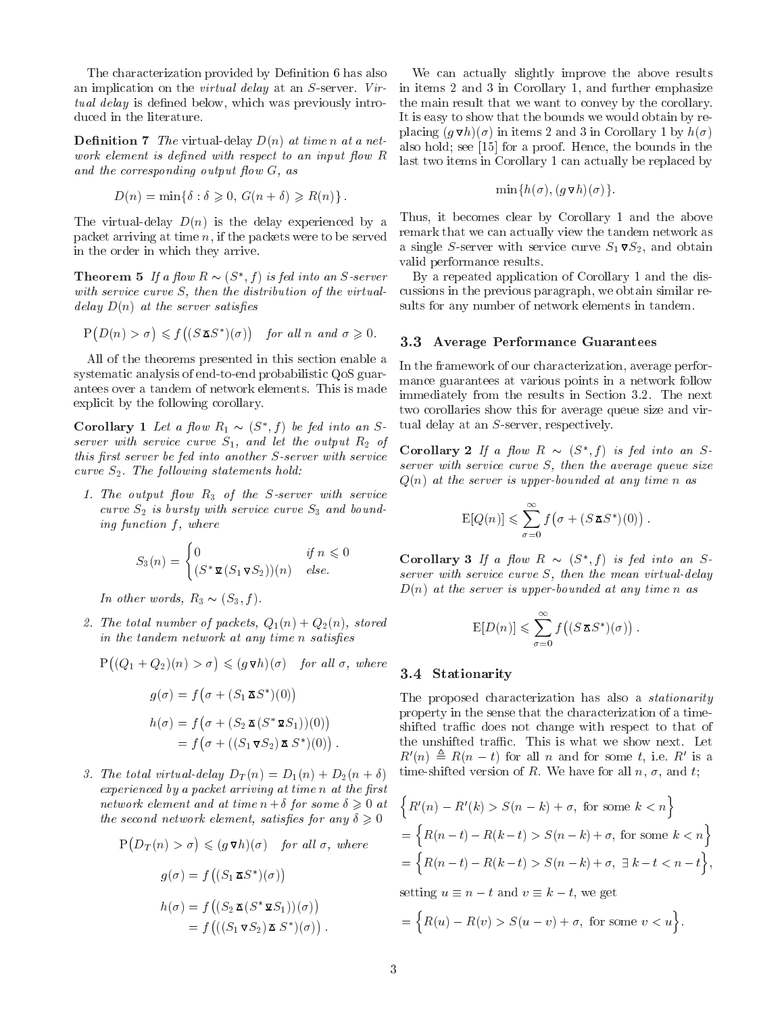The characterization provided by Definition 6 has also an implication on the virtual delay at an S-server. Virtual delay is defined below, which was previously introduced in the literature.

**Definition 7** The virtual-delay  $D(n)$  at time n at a network element is defined with respect to an input flow  $R$ and the corresponding output flow  $G$ , as

$$
D(n) = \min\{\delta : \delta \geq 0, G(n+\delta) \geq R(n)\}.
$$

The virtual-delay  $D(n)$  is the delay experienced by a packet arriving at time  $n$ , if the packets were to be served in the order in which they arrive.

**Theorem 5** If a flow  $R \sim (3, 1)$  is feather an S-server by with service curve S, then the distribution of the virtualdelay  $D(n)$  at the server satisfies

$$
P(D(n) > \sigma) \leq f((S \mathbf{Z} S^*)(\sigma)) \quad \text{for all } n \text{ and } \sigma \geq 0
$$

All of the theorems presented in this section enable a systematic analysis of end-to-end probabilistic QoS guarantees over a tandem of network elements. This is made explicit by the following corollary.

Corollary 1 Let a now  $R_1 \sim (S_1, I)$  be je server with service curve  $S_1$ , and let the output  $R_2$  of this first server be fed into another  $S$ -server with service curve  $S_2$ . The following statements hold:

1. The output ow R3 of the S-server with service curve S2 is bursty with service curve S3 and bound-bound-bound-bound-bound-bound-bound-bound-bound-bound-bounding function  $f$ , where

$$
S_3(n) = \begin{cases} 0 & \text{if } n \leq 0 \\ (S^* \mathbf{Q} (S_1 \mathbf{Q} S_2)) (n) & \text{else.} \end{cases}
$$
 C<sub>0</sub>

In other words, R3 (S3; f ).

2. The total number of packets,  $Q_1(n) + Q_2(n)$ , stored in the tandem network at any time n satisfies

$$
P((Q_1 + Q_2)(n) > \sigma) \leq (g \triangledown h)(\sigma)
$$
 for all  $\sigma$ , where

$$
g(\sigma) = f(\sigma + (S_1 \mathbf{\Sigma} S^*)(0))
$$
  
\n
$$
h(\sigma) = f(\sigma + (S_2 \mathbf{\Sigma} (S^* \mathbf{\Sigma} S_1))(0))
$$
  
\n
$$
= f(\sigma + ((S_1 \mathbf{\Sigma} S_2) \mathbf{\Sigma} S^*)(0)).
$$

3. The total virtual-delay  $D_T(n) = D_1(n) + D_2(n + \delta)$  $experienced$  by a packet arriving at time  $n$  at the first network element and at time  $n+\delta$  for some  $\delta \geqslant 0$  at the second network element, satisfies for any  $\delta \geqslant 0$ 

$$
P(D_T(n) > \sigma) \leq (g \nabla h)(\sigma) \quad \text{for all } \sigma, \text{ where}
$$
  
=  

$$
g(\sigma) = f((S_1 \times S^*)(\sigma))
$$
  
=  

$$
h(\sigma) = f((S_2 \times (S^* \times S_1))(\sigma))
$$
  
=
$$
f(((S_1 \times S_2) \times S^*)(\sigma))
$$
.

We can actually slightly improve the above results in items 2 and 3 in Corollary 1, and further emphasize the main result that we want to convey by the corollary. It is easy to show that the bounds we would obtain by replacing  $(g \nabla h)(\sigma)$  in items 2 and 3 in Corollary 1 by  $h(\sigma)$ also hold; see [15] for a proof. Hence, the bounds in the last two items in Corollary 1 can actually be replaced by

$$
\min\{h(\sigma), (g \mathbf{v} h)(\sigma)\}.
$$

Thus, it becomes clear by Corollary 1 and the above remark that we can actually view the tandem network as a single S-server with service curve S1 S2, and obtain service  $\sim$ valid performance results.

By a repeated application of Corollary 1 and the discussions in the previous paragraph, we obtain similar results for any number of network elements in tandem.

#### $f^{(1)}$  and  $f^{(2)}$  and  $f^{(3)}$  are  $f^{(4)}$  are also also also be performance Guarantees

In the framework of our characterization, average performance guarantees at various points in a network follow immediately from the results in Section 3.2. The next two corollaries show this for average queue size and virtual delay at an S-server, respectively.

Corollary 2 If a flow  $R \sim (S^*, f)$  is form server with service curve  $S$ , then the average queue size  $Q(n)$  at the server is upper-bounded at any time n as

$$
\mathrm{E}[Q(n)] \leqslant \sum_{\sigma=0}^{\infty} f(\sigma + (S\,\mathbf{I} S^*)(0)).
$$

Corollary 3 If a flow  $R \sim (S^*, f)$  is fed into an Sserver with service curve  $S$ , then the mean virtual-delay  $D(n)$  at the server is upper-bounded at any time n as

$$
\mathbb{E}[D(n)] \leqslant \sum_{\sigma=0}^{\infty} f\big((S \mathbf{X} S^*)(\sigma)\big).
$$

#### 3.4 Stationarity

The proposed characterization has also a stationarity property in the sense that the characterization of a timeshifted traffic does not change with respect to that of the unshifted traffic. This is what we show next. Let  $R(n) \equiv R(n - t)$  for all n and for some t, i.e. R is a time-shifted version of R. We have for all  $n, \sigma$ , and t;

$$
\begin{aligned} &\left\{R'(n) - R'(k) > S(n-k) + \sigma, \text{ for some } k < n\right\} \\ &= \left\{R(n-t) - R(k-t) > S(n-k) + \sigma, \text{ for some } k < n\right\} \\ &= \left\{R(n-t) - R(k-t) > S(n-k) + \sigma, \exists k-t < n-t\right\}, \end{aligned}
$$

setting up to the contract of the contract of the contract of the contract of the contract of the contract of the contract of the contract of the contract of the contract of the contract of the contract of the contract of

$$
= \Big\{ R(u) - R(v) > S(u - v) + \sigma, \text{ for some } v < u \Big\}.
$$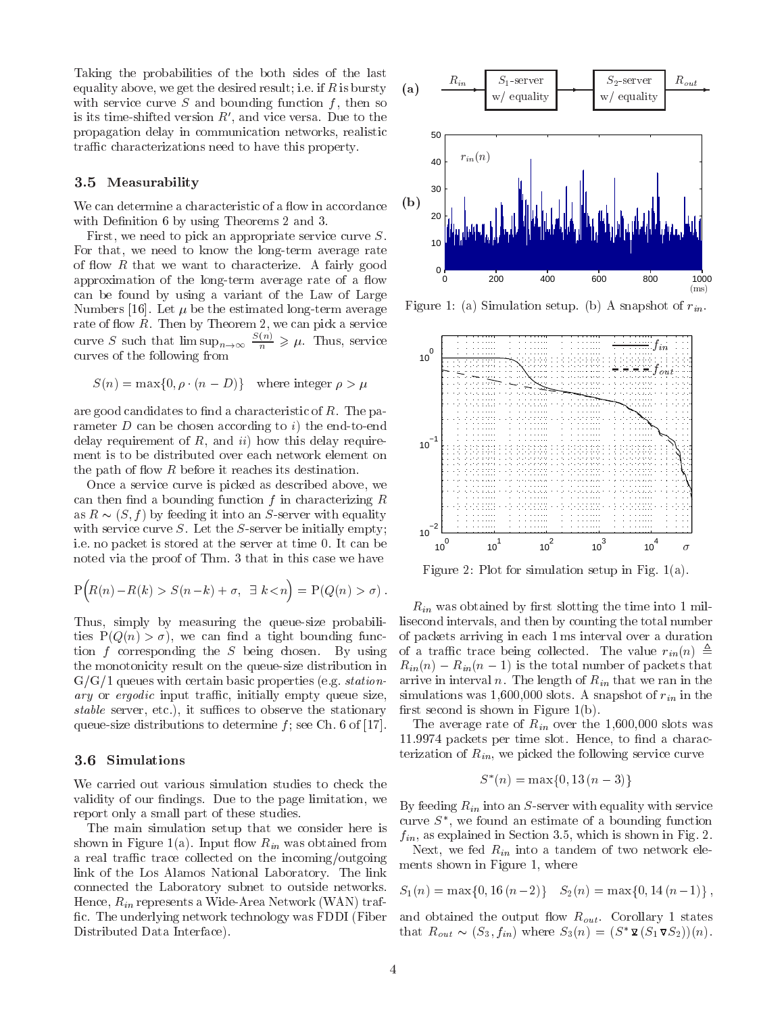Taking the probabilities of the both sides of the last equality above, we get the desired result; i.e. if  $R$  is bursty  $(a)$ with service curve  $S$  and bounding function  $f$ , then so is its time-shifted version  $R'$ , and vice versa. Due to the propagation delay in communication networks, realistic traffic characterizations need to have this property.

## 3.5 Measurability

We can determine a characteristic of a flow in accordance with Definition 6 by using Theorems 2 and 3.

First, we need to pick an appropriate service curve S. For that, we need to know the long-term average rate of flow  $R$  that we want to characterize. A fairly good approximation of the long-term average rate of a flow can be found by using a variant of the Law of Large Numbers [16]. Let  $\mu$  be the estimated long-term average rate of flow  $R$ . Then by Theorem 2, we can pick a service curve S such that  $\limsup_{n\to\infty} \frac{1}{n} \geq \mu$ . Thus, service curves of the following from

$$
S(n) = \max\{0, \rho \cdot (n - D)\} \quad \text{where integer } \rho > \mu
$$

are good candidates to find a characteristic of  $R$ . The parameter  $D$  can be chosen according to i) the end-to-end delay requirement of  $R$ , and  $ii$ ) how this delay requirement is to be distributed over each network element on the path of flow  $R$  before it reaches its destination.

Once a service curve is picked as described above, we can then find a bounding function  $f$  in characterizing  $R$ as R is the R  $\sim$  for the server with equality into an S-server with equality in the server with equality in the server with equality in the server with equality in the server with equality in the server with equality in with service curve  $S$ . Let the  $S$ -server be initially empty; i.e. no packet is stored at the server at time 0. It can be noted via the proof of Thm. 3 that in this case we have

$$
P\Big(R(n) - R(k) > S(n-k) + \sigma, \ \exists \ k < n\Big) = P(Q(n) > \sigma).
$$

Thus, simply by measuring the queue-size probabilities  $P(Q(n) > \sigma)$ , we can find a tight bounding function f corresponding the S being chosen. By using the monotonicity result on the queue-size distribution in  $G/G/1$  queues with certain basic properties (e.g. *station*ary or ergodic input traffic, initially empty queue size, stable server, etc.), it suffices to observe the stationary queue-size distributions to determine  $f$ ; see Ch. 6 of [17].

### 3.6 Simulations

We carried out various simulation studies to check the validity of our findings. Due to the page limitation, we report only a small part of these studies.

The main simulation setup that we consider here is shown in Figure 1(a). Input flow  $R_{in}$  was obtained from a real traffic trace collected on the incoming/outgoing link of the Los Alamos National Laboratory. The link connected the Laboratory subnet to outside networks. Hence,  $R_{in}$  represents a Wide-Area Network (WAN) traffic. The underlying network technology was FDDI (Fiber Distributed Data Interface).



Figure 1: (a) Simulation setup. (b) A snapshot of  $r_{in}$ .



Figure 2: Plot for simulation setup in Fig. 1(a).

 $R_{in}$  was obtained by first slotting the time into 1 millisecond intervals, and then by counting the total number of packets arriving in each 1 ms interval over a duration of a traffic trace being collected. The value  $r_{in}(n) \triangleq$  $R_{in}(n) - R_{in}(n-1)$  is the total number of packets that arrive in interval n. The length of  $R_{in}$  that we ran in the simulations was 1,600,000 slots. A snapshot of  $r_{in}$  in the first second is shown in Figure  $1(b)$ .

The average rate of  $R_{in}$  over the 1,600,000 slots was 11.9974 packets per time slot. Hence, to find a characterization of  $R_{in}$ , we picked the following service curve

$$
S^*(n) = \max\{0, 13(n-3)\}\
$$

By feeding  $R_{in}$  into an S-server with equality with service curve  $S$ , we found an estimate of a bounding function  $f_{in}$ , as explained in Section 3.5, which is shown in Fig. 2.

Next, we fed  $R_{in}$  into a tandem of two network elements shown in Figure 1, where

$$
S_1(n) = \max\{0, 16(n-2)\} \quad S_2(n) = \max\{0, 14(n-1)\},
$$

and obtained the output flow  $R_{out}$ . Corollary 1 states that  $K_{out} \sim (\mathcal{S}_3, I_{in})$  where  $\mathcal{S}_3(n) = (\mathcal{S}_1 \vee \mathcal{S}_1) \vee (\mathcal{S}_2)$ .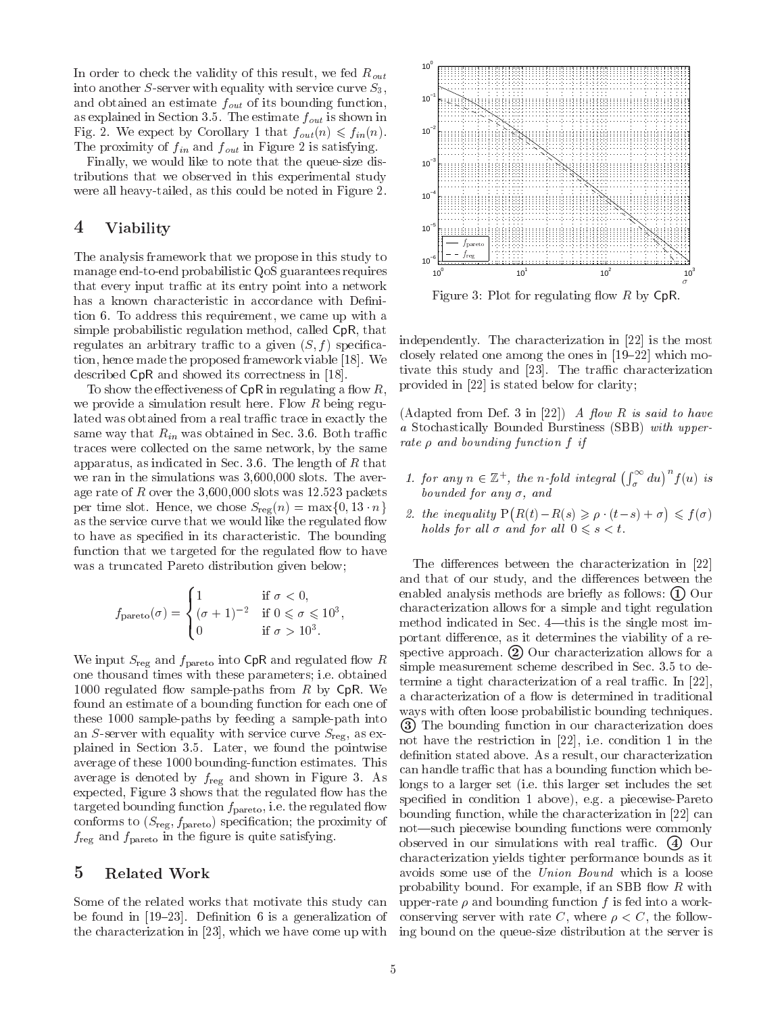In order to check the validity of this result, we fed  $R_{out}$ into another S-server with equality with service curve  $S_3$ , and obtained an estimate  $f_{out}$  of its bounding function, as explained in Section 3.5. The estimate  $f_{out}$  is shown in Fig. 2. We expect by Corollary 1 that  $f_{out}(n) \leq f_{in}(n)$ . The proximity of  $f_{in}$  and  $f_{out}$  in Figure 2 is satisfying.

Finally, we would like to note that the queue-size distributions that we observed in this experimental study were all heavy-tailed, as this could be noted in Figure 2.

# 4 Viability

The analysis framework that we propose in this study to manage end-to-end probabilistic QoS guarantees requires that every input traffic at its entry point into a network has a known characteristic in accordance with Definition 6. To address this requirement, we came up with a simple probabilistic regulation method, called CpR, that regulates an arbitrary traffic to a given  $(S, f)$  specification, hence made the proposed framework viable [18]. We described CpR and showed its correctness in [18].

To show the effectiveness of  $\mathsf{CpR}$  in regulating a flow R, we provide a simulation result here. Flow  $R$  being regulated was obtained from a real traffic trace in exactly the same way that  $R_{in}$  was obtained in Sec. 3.6. Both traffic traces were collected on the same network, by the same apparatus, as indicated in Sec. 3.6. The length of  $R$  that we ran in the simulations was 3,600,000 slots. The average rate of  $R$  over the 3,600,000 slots was 12.523 packets per time slot. Hence, we chose  $S_{reg}(n) = \max\{0, 13 \cdot n\}$ as the service curve that we would like the regulated flow to have as specied in its characteristic. The bounding function that we targeted for the regulated flow to have was a truncated Pareto distribution given below;

$$
f_{\text{parto}}(\sigma) = \begin{cases} 1 & \text{if } \sigma < 0, \\ (\sigma + 1)^{-2} & \text{if } 0 \leq \sigma \leq 10^3, \\ 0 & \text{if } \sigma > 10^3. \end{cases}
$$

We input State and function and regulated into Computer and regulated into Computer and regulated in one thousand times with these parameters; i.e. obtained 1000 regulated flow sample-paths from  $R$  by CpR. We found an estimate of a bounding function for each one of these 1000 sample-paths by feeding a sample-path into an S-server with equality with service curve  $S_{\text{reg}}$ , as explained in Section 3.5.Later, we found the pointwise average of these 1000 bounding-function estimates. This average is denoted by freg and shown in Figure 3.As expected, Figure 3 shows that the regulated flow has the targeted bounding function  $f_{\text{parto}}$ , i.e. the regulated flow conforms to  $(S_{\text{reg}}, f_{\text{parto}})$  specification; the proximity of freg and fpareto in the gure is quite satisfying.

## 5 Related Work

Some of the related works that motivate this study can be found in  $[19-23]$ . Definition 6 is a generalization of the characterization in [23], which we have come up with



Figure 3: Plot for regulating flow  $R$  by  $CpR$ .

independently. The characterization in [22] is the most closely related one among the ones in  $[19–22]$  which motivate this study and [23]. The traffic characterization provided in [22] is stated below for clarity;

(Adapted from Def. 3 in [22]) A flow R is said to have a Stochastically Bounded Burstiness (SBB) with upperrate  $\rho$  and bounding function  $f$  if

- 1. for any  $n \in \mathbb{Z}^+$ , the n-fold integral  $\left(\int_{\sigma}^{\infty} du\right)^n f(u)$  is bounded for any  $\sigma$ , and
- 2. the inequality  $P(R(t) R(s) \geq \rho \cdot (t-s) + \sigma) \leq f(\sigma)$ holds for all  $\sigma$  and for all  $0 \leq s \leq t$ .

The differences between the characterization in [22] and that of our study, and the differences between the enabled analysis methods are briefly as follows:  $(1)$  Our characterization allows for a simple and tight regulation method indicated in Sec.  $4$ —this is the single most important difference, as it determines the viability of a respective approach.  $(2)$  Our characterization allows for a simple measurement scheme described in Sec. 3.5 to determine a tight characterization of a real traffic. In  $[22]$ , a characterization of a flow is determined in traditional ways with often loose probabilistic bounding techniques. 3) The bounding function in our characterization does not have the restriction in [22], i.e. condition 1 in the definition stated above. As a result, our characterization can handle traffic that has a bounding function which belongs to a larger set (i.e. this larger set includes the set specied in condition 1 above), e.g. a piecewise-Pareto bounding function, while the characterization in [22] can not—such piecewise bounding functions were commonly observed in our simulations with real traffic.  $\left(4\right)$  Our characterization yields tighter performance bounds as it avoids some use of the Union Bound which is a loose probability bound. For example, if an SBB flow  $R$  with upper-rate  $\rho$  and bounding function f is fed into a workconserving server with rate C, where  $\rho < C$ , the following bound on the queue-size distribution at the server is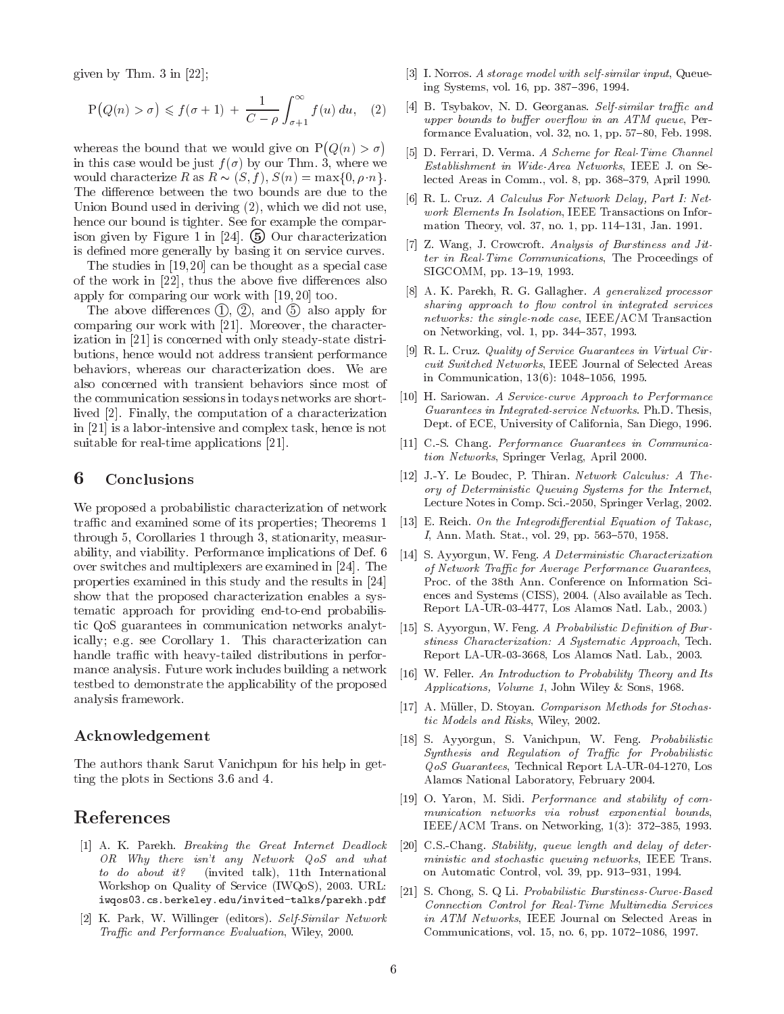given by Thm. 3 in [22];

$$
P(Q(n) > \sigma) \leq f(\sigma + 1) + \frac{1}{C - \rho} \int_{\sigma + 1}^{\infty} f(u) du, \quad (2) \quad [4]
$$

whereas the bound that we would give on  $P(Q(n) > \sigma)$ in this case would be just  $f(\sigma)$  by our Thm. 3, where we would characterize R as  $R \sim (S, f), S(n) = \max\{0, \rho \cdot n\}.$ The difference between the two bounds are due to the Union Bound used in deriving (2), which we did not use, hence our bound is tighter. See for example the comparison given by Figure 1 in  $[24]$ . (5) Our characterization is defined more generally by basing it on service curves.

The studies in [19, 20] can be thought as a special case of the work in  $[22]$ , thus the above five differences also apply for comparing our work with [19, 20] too.

The above differences  $(1), (2),$  and  $(5)$  also apply for comparing our work with [21]. Moreover, the characterization in [21] is concerned with only steady-state distributions, hence would not address transient performance behaviors, whereas our characterization does. We are also concerned with transient behaviors since most of the communication sessions in todays networks are shortlived [2]. Finally, the computation of a characterization in [21] is a labor-intensive and complex task, hence is not suitable for real-time applications [21].

### 6 Conclusions

We proposed a probabilistic characterization of network traffic and examined some of its properties; Theorems 1 through 5, Corollaries 1 through 3, stationarity, measurability, and viability. Performance implications of Def. 6 over switches and multiplexers are examined in [24]. The properties examined in this study and the results in [24] show that the proposed characterization enables a systematic approach for providing end-to-end probabilistic QoS guarantees in communication networks analytically; e.g. see Corollary 1. This characterization can handle traffic with heavy-tailed distributions in performance analysis. Future work includes building a network testbed to demonstrate the applicability of the proposed analysis framework.

#### Acknowledgement

The authors thank Sarut Vanichpun for his help in getting the plots in Sections 3.6 and 4.

# References

- [1] A. K. Parekh. Breaking the Great Internet Deadlock OR Why there isn't any Network QoS and what to do about it? (invited talk), 11th International Workshop on Quality of Service (IWQoS), 2003. URL: iwqos03.cs.berkeley.edu/invited-talks/parekh.pdf
- [2] K. Park, W. Willinger (editors). Self-Similar Network Traffic and Performance Evaluation, Wiley, 2000.
- [3] I. Norros. A storage model with self-similar input, Queueing Systems, vol. 16, pp. 387-396, 1994.
- [4] B. Tsybakov, N. D. Georganas. Self-similar traffic and upper bounds to buffer overflow in an  $ATM$  queue, Performance Evaluation, vol. 32, no. 1, pp.  $57-80$ , Feb. 1998.
- [5] D. Ferrari, D. Verma. A Scheme for Real-Time Channel Establishment in Wide-Area Networks, IEEE J. on Selected Areas in Comm., vol. 8, pp.  $368-379$ , April 1990.
- [6] R. L. Cruz. A Calculus For Network Delay, Part I: Network Elements In Isolation, IEEE Transactions on Information Theory, vol. 37, no. 1, pp. 114-131, Jan. 1991.
- [7] Z. Wang, J. Crowcroft. Analysis of Burstiness and Jitter in Real-Time Communications, The Proceedings of SIGCOMM, pp. 13-19, 1993.
- [8] A. K. Parekh, R. G. Gallagher. A generalized processor sharing approach to flow control in integrated services networks: the single-node case, IEEE/ACM Transaction on Networking, vol. 1, pp. 344-357, 1993.
- [9] R. L. Cruz. Quality of Service Guarantees in Virtual Circuit Switched Networks, IEEE Journal of Selected Areas in Communication,  $13(6)$ :  $1048-1056$ , 1995.
- [10] H. Sariowan. A Service-curve Approach to Performance Guarantees in Integrated-service Networks. Ph.D. Thesis, Dept. of ECE, University of California, San Diego, 1996.
- [11] C.-S. Chang. *Performance Guarantees in Communica*tion Networks, Springer Verlag, April 2000.
- [12] J.-Y. Le Boudec, P. Thiran. Network Calculus: A Theory of Deterministic Queuing Systems for the Internet, Lecture Notes in Comp. Sci.-2050, Springer Verlag, 2002.
- [13] E. Reich. On the Integrodifferential Equation of Takasc I, Ann. Math. Stat., vol. 29, pp. 563–570, 1958.
- [14] S. Ayyorgun, W. Feng. A Deterministic Characterization of Network Traffic for Average Performance Guarantees, Proc. of the 38th Ann. Conference on Information Sciences and Systems (CISS), 2004. (Also available as Tech. Report LA-UR-03-4477, Los Alamos Natl. Lab., 2003.)
- [15] S. Ayyorgun, W. Feng. A Probabilistic Definition of Burstiness Characterization: A Systematic Approach, Tech. Report LA-UR-03-3668, Los Alamos Natl. Lab., 2003.
- [16] W. Feller. An Introduction to Probability Theory and Its Applications, Volume 1, John Wiley & Sons, 1968.
- [17] A. Müller, D. Stoyan. Comparison Methods for Stochastic Models and Risks, Wiley, 2002.
- [18] S. Ayyorgun, S. Vanichpun, W. Feng. Probabilistic Synthesis and Regulation of Traffic for Probabilistic QoS Guarantees, Technical Report LA-UR-04-1270, Los Alamos National Laboratory, February 2004.
- [19] O. Yaron, M. Sidi. Performance and stability of com munication networks via robust exponential bounds, IEEE/ACM Trans. on Networking,  $1(3)$ : 372-385, 1993.
- $[20]$  C.S.-Chang. Stability, queue length and delay of deterministic and stochastic queuing networks, IEEE Trans. on Automatic Control, vol. 39, pp. 913-931, 1994.
- S. Chong, S. Q Li. Probabilistic Burstiness-Curve-Based Connection Control for Real-Time Multimedia Services in ATM Networks, IEEE Journal on Selected Areas in Communications, vol. 15, no. 6, pp. 1072-1086, 1997.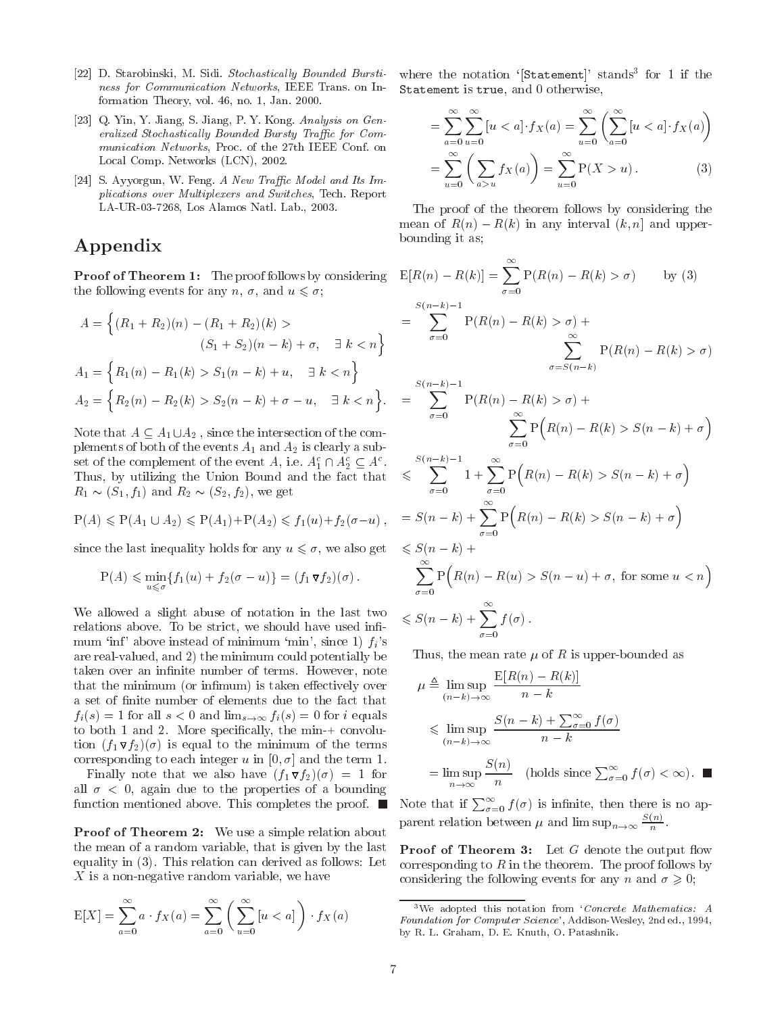- [22] D. Starobinski, M. Sidi. Stochastically Bounded Burstiness for Communication Networks, IEEE Trans. on Information Theory, vol. 46, no. 1, Jan. 2000.
- [23] Q. Yin, Y. Jiang, S. Jiang, P. Y. Kong. Analysis on Gen eralized Stochastically Bounded Bursty Traffic for Communication Networks, Proc. of the 27th IEEE Conf. on Local Comp. Networks (LCN), 2002.
- [24] S. Ayyorgun, W. Feng. A New Traffic Model and Its Implications over Multiplexers and Switches, Tech. Report LA-UR-03-7268, Los Alamos Natl. Lab., 2003.

# Appendix

<sup>n</sup>

**Proof of Theorem 1:** The proof follows by considering the following events for any n,  $\sigma$ , and  $u \leq \sigma$ ;

$$
A = \left\{ (R_1 + R_2)(n) - (R_1 + R_2)(k) > \right\} = \sum_{\sigma=0}
$$
  
\n
$$
(S_1 + S_2)(n - k) + \sigma, \quad \exists k < n \right\}
$$
  
\n
$$
A_1 = \left\{ R_1(n) - R_1(k) > S_1(n - k) + u, \quad \exists k < n \right\}
$$
  
\n
$$
A_2 = \left\{ R_2(n) - R_2(k) > S_2(n - k) + \sigma - u, \quad \exists k < n \right\}.
$$

Note that A1  $\alpha$  , since the intersection of the intersection of the complements of both of the events A1 and A2 is clearly a subset of the complement of the event A, i.e.  $A_1 \sqcup A_2 \subseteq A_1$ . Thus, by utilizing the Union Bound and the fact that R1 (S1; f1) and R2 (S2; f2), we get

$$
P(A) \leq P(A_1 \cup A_2) \leq P(A_1) + P(A_2) \leq f_1(u) + f_2(\sigma - u),
$$
 =

since the last inequality holds for any  $u \leq \sigma$ , we also get

$$
P(A) \leqslant \min_{u \leqslant \sigma} \{f_1(u) + f_2(\sigma - u)\} = (f_1 \mathbf{\nabla} f_2)(\sigma).
$$

We allowed a slight abuse of notation in the last two relations above. To be strict, we should have used infimum 'inf' above instead of minimum 'min', since 1)  $f_i$ 's are real-valued, and 2) the minimum could potentially be taken over an infinite number of terms. However, note that the minimum (or infimum) is taken effectively over a set of finite number of elements due to the fact that  $f_i(s) = 1$  for all  $s < 0$  and  $\lim_{s \to \infty} f_i(s) = 0$  for i equals to both 1 and 2. More specically, the min-+ convolution (f1 f2)() is equal to the minimum of the term of the terms corresponding to each integer u in  $[0, \sigma]$  and the term 1.

 $-$  finally noted that we also have  $\{f(1) \mid f(2) \mid 1 \leq j \leq n-1 \}$ all  $\sigma$  < 0, again due to the properties of a bounding function mentioned above. This completes the proof.  $\blacksquare$ 

Proof of Theorem 2: We use a simple relation about the mean of a random variable, that is given by the last equality in (3). This relation can derived as follows: Let X is a non-negative random variable, we have

$$
E[X] = \sum_{a=0}^{\infty} a \cdot f_X(a) = \sum_{a=0}^{\infty} \left( \sum_{u=0}^{\infty} [u < a] \right) \cdot f_X(a)
$$

where the notation 'Statement' stands<sup>3</sup> for 1 if the Statement is true, and 0 otherwise,

$$
= \sum_{a=0}^{\infty} \sum_{u=0}^{\infty} [u < a] \cdot f_X(a) = \sum_{u=0}^{\infty} \left( \sum_{a=0}^{\infty} [u < a] \cdot f_X(a) \right)
$$
\n
$$
= \sum_{u=0}^{\infty} \left( \sum_{a>u} f_X(a) \right) = \sum_{u=0}^{\infty} P(X > u) \,. \tag{3}
$$

The proof of the theorem follows by considering the mean of R(n) in any interval (k) in any interval (k) in any interval (k) and upperbounding it as;

$$
E[R(n) - R(k)] = \sum_{\sigma=0}^{\infty} P(R(n) - R(k) > \sigma) \qquad \text{by (3)}
$$
  
\n
$$
= \sum_{\sigma=0}^{S(n-k)-1} P(R(n) - R(k) > \sigma) + \sum_{\sigma=S(n-k)}^{\infty} P(R(n) - R(k) > \sigma)
$$
  
\n
$$
= \sum_{\sigma=0}^{S(n-k)-1} P(R(n) - R(k) > \sigma) + \sum_{\sigma=0}^{\infty} P(R(n) - R(k) > S(n-k) + \sigma)
$$
  
\n
$$
\leq \sum_{\sigma=0}^{S(n-k)-1} 1 + \sum_{\sigma=0}^{\infty} P(R(n) - R(k) > S(n-k) + \sigma)
$$
  
\n
$$
= S(n-k) + \sum_{\sigma=0}^{\infty} P(R(n) - R(k) > S(n-k) + \sigma)
$$
  
\n
$$
\leq S(n-k) + \sum_{\sigma=0}^{\infty} P(R(n) - R(u) > S(n-u) + \sigma, \text{ for some } u < n)
$$
  
\n
$$
\leq S(n-k) + \sum_{\sigma=0}^{\infty} f(\sigma).
$$

Thus, the mean rate  $\mu$  of R is upper-bounded as

$$
\mu \triangleq \limsup_{(n-k)\to\infty} \frac{E[R(n) - R(k)]}{n - k}
$$
  
\$\leqslant \limsup\_{(n-k)\to\infty} \frac{S(n-k) + \sum\_{\sigma=0}^{\infty} f(\sigma)}{n - k}\$  
=  $\limsup_{n\to\infty} \frac{S(n)}{n}$  (holds since  $\sum_{\sigma=0}^{\infty} f(\sigma) < \infty$ ).

Note that if  $\sum_{\sigma=0}^{\infty} f(\sigma)$  is infinite, then there is no apparent relation between  $\mu$  and  $\limsup_{n\to\infty} \frac{1}{n}$ .

**Proof of Theorem 3:** Let  $G$  denote the output flow corresponding to  $R$  in the theorem. The proof follows by considering the following events for any n and  $\sigma \geq 0$ ;

 $3$ We adopted this notation from 'Concrete Mathematics: A Foundation for Computer Science', Addison-Wesley, 2nd ed., 1994, by R. L. Graham, D. E. Knuth, O. Patashnik.